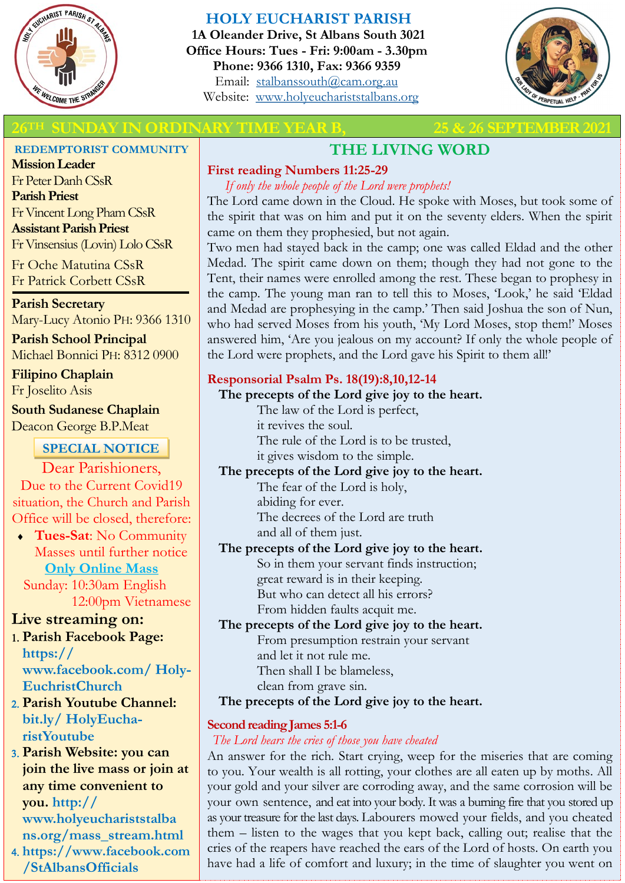

# **HOLY EUCHARIST PARISH**

**1A Oleander Drive, St Albans South 3021 Office Hours: Tues - Fri: 9:00am - 3.30pm Phone: 9366 1310, Fax: 9366 9359** Email: [stalbanssouth@cam.org.au](mailto:stalbanssouth@cam.org.au) Website:[www.holyeuchariststalbans.org](http://www.holyeuchariststalbans.org)



# **26TH SUNDAY IN ORDINARY TIME YEAR B, 25 & 26 SEPTEMBER2021**

#### **REDEMPTORIST COMMUNITY**

**Mission Leader** Fr Peter Danh CSsR **Parish Priest** Fr Vincent Long Pham CSsR **Assistant Parish Priest**  Fr Vinsensius (Lovin) Lolo CSsR

Fr Oche Matutina CSsR Fr Patrick Corbett CSsR

**Parish Secretary** Mary-Lucy Atonio PH: 9366 1310

**Parish School Principal** Michael Bonnici PH: 8312 0900

**Filipino Chaplain** Fr Joselito Asis

**South Sudanese Chaplain** Deacon George B.P.Meat

# **SPECIAL NOTICE**

Dear Parishioners, Due to the Current Covid19 situation, the Church and Parish Office will be closed, therefore:

 **Tues-Sat**: No Community Masses until further notice **Only Online Mass**  Sunday: 10:30am English

12:00pm Vietnamese

# **Live streaming on:**

 **Parish Facebook Page: https:// www.facebook.com/ Holy-EuchristChurch** 

- **Parish Youtube Channel: bit.ly/ HolyEucharistYoutube**
- **Parish Website: you can join the live mass or join at any time convenient to you. http:// www.holyeuchariststalba ns.org/mass\_stream.html**

 **https://www.facebook.com /StAlbansOfficials** 

# **THE LIVING WORD**

# **First reading Numbers 11:25-29**

*If only the whole people of the Lord were prophets!*

The Lord came down in the Cloud. He spoke with Moses, but took some of the spirit that was on him and put it on the seventy elders. When the spirit came on them they prophesied, but not again.

Two men had stayed back in the camp; one was called Eldad and the other Medad. The spirit came down on them; though they had not gone to the Tent, their names were enrolled among the rest. These began to prophesy in the camp. The young man ran to tell this to Moses, 'Look,' he said 'Eldad and Medad are prophesying in the camp.' Then said Joshua the son of Nun, who had served Moses from his youth, 'My Lord Moses, stop them!' Moses answered him, 'Are you jealous on my account? If only the whole people of the Lord were prophets, and the Lord gave his Spirit to them all!'

# **Responsorial Psalm Ps. 18(19):8,10,12-14**

### **The precepts of the Lord give joy to the heart.**

The law of the Lord is perfect, it revives the soul.

The rule of the Lord is to be trusted, it gives wisdom to the simple.

# **The precepts of the Lord give joy to the heart.**

The fear of the Lord is holy, abiding for ever. The decrees of the Lord are truth and all of them just.

# **The precepts of the Lord give joy to the heart.**

So in them your servant finds instruction; great reward is in their keeping. But who can detect all his errors? From hidden faults acquit me.

# **The precepts of the Lord give joy to the heart.**

From presumption restrain your servant and let it not rule me. Then shall I be blameless,

clean from grave sin.

# **The precepts of the Lord give joy to the heart.**

# **Second reading James 5:1-6**

# *The Lord hears the cries of those you have cheated*

An answer for the rich. Start crying, weep for the miseries that are coming to you. Your wealth is all rotting, your clothes are all eaten up by moths. All your gold and your silver are corroding away, and the same corrosion will be your own sentence, and eat into your body. It was a burning fire that you stored up as your treasure for the last days. Labourers mowed your fields, and you cheated them – listen to the wages that you kept back, calling out; realise that the cries of the reapers have reached the ears of the Lord of hosts. On earth you have had a life of comfort and luxury; in the time of slaughter you went on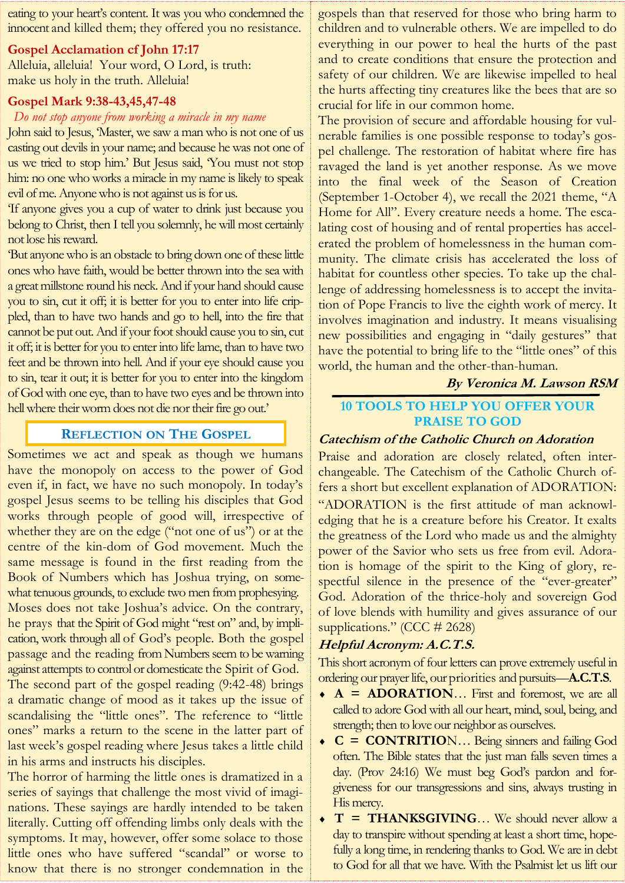eating to your heart's content. It was you who condemned the innocent and killed them; they offered you no resistance.

#### **Gospel Acclamation cf John 17:17**

Alleluia, alleluia! Your word, O Lord, is truth: make us holy in the truth. Alleluia!

#### **Gospel Mark 9:38-43,45,47-48**

#### *Do not stop anyone from working a miracle in my name*

John said to Jesus, 'Master, we saw a man who is not one of us casting out devils in your name; and because he was not one of us we tried to stop him.' But Jesus said, 'You must not stop him: no one who works a miracle in my name is likely to speak evil of me. Anyone who is not against us is for us.

'If anyone gives you a cup of water to drink just because you belong to Christ, then I tell you solemnly, he will most certainly not lose his reward.

'But anyone who is an obstacle to bring down one of these little ones who have faith, would be better thrown into the sea with a great millstone round his neck. And if your hand should cause you to sin, cut it off; it is better for you to enter into life crippled, than to have two hands and go to hell, into the fire that cannot be put out. And if your foot should cause you to sin, cut it off; it is better for you to enter into life lame, than to have two feet and be thrown into hell. And if your eye should cause you to sin, tear it out; it is better for you to enter into the kingdom of God with one eye, than to have two eyes and be thrown into hell where their worm does not die nor their fire go out.'

# **REFLECTION ON THE GOSPEL**

Sometimes we act and speak as though we humans have the monopoly on access to the power of God even if, in fact, we have no such monopoly. In today's gospel Jesus seems to be telling his disciples that God works through people of good will, irrespective of whether they are on the edge ("not one of us") or at the centre of the kin-dom of God movement. Much the same message is found in the first reading from the Book of Numbers which has Joshua trying, on somewhat tenuous grounds, to exclude two men from prophesying. Moses does not take Joshua's advice. On the contrary, he prays that the Spirit of God might "rest on" and, by implication, work through all of God's people. Both the gospel passage and the reading from Numbers seem to be warning against attempts to control or domesticate the Spirit of God. The second part of the gospel reading (9:42-48) brings a dramatic change of mood as it takes up the issue of

scandalising the "little ones". The reference to "little ones" marks a return to the scene in the latter part of last week's gospel reading where Jesus takes a little child in his arms and instructs his disciples.

The horror of harming the little ones is dramatized in a series of sayings that challenge the most vivid of imaginations. These sayings are hardly intended to be taken literally. Cutting off offending limbs only deals with the symptoms. It may, however, offer some solace to those little ones who have suffered "scandal" or worse to know that there is no stronger condemnation in the

gospels than that reserved for those who bring harm to children and to vulnerable others. We are impelled to do everything in our power to heal the hurts of the past and to create conditions that ensure the protection and safety of our children. We are likewise impelled to heal the hurts affecting tiny creatures like the bees that are so crucial for life in our common home.

The provision of secure and affordable housing for vulnerable families is one possible response to today's gospel challenge. The restoration of habitat where fire has ravaged the land is yet another response. As we move into the final week of the Season of Creation (September 1-October 4), we recall the 2021 theme, "A Home for All". Every creature needs a home. The escalating cost of housing and of rental properties has accelerated the problem of homelessness in the human community. The climate crisis has accelerated the loss of habitat for countless other species. To take up the challenge of addressing homelessness is to accept the invitation of Pope Francis to live the eighth work of mercy. It involves imagination and industry. It means visualising new possibilities and engaging in "daily gestures" that have the potential to bring life to the "little ones" of this world, the human and the other-than-human.

**By Veronica M. Lawson RSM**

### **10 TOOLS TO HELP YOU OFFER YOUR PRAISE TO GOD**

#### **Catechism of the Catholic Church on Adoration**

Praise and adoration are closely related, often interchangeable. The Catechism of the Catholic Church offers a short but excellent explanation of ADORATION: "ADORATION is the first attitude of man acknowledging that he is a creature before his Creator. It exalts the greatness of the Lord who made us and the almighty power of the Savior who sets us free from evil. Adoration is homage of the spirit to the King of glory, respectful silence in the presence of the "ever-greater" God. Adoration of the thrice-holy and sovereign God of love blends with humility and gives assurance of our supplications." (CCC # 2628)

#### **Helpful Acronym: A.C.T.S.**

This short acronym of four letters can prove extremely useful in ordering our prayer life, our priorities and pursuits—**A.C.T.S**.

- ◆ **A = ADORATION**... First and foremost, we are all called to adore God with all our heart, mind, soul, being, and strength; then to love our neighbor as ourselves.
- ◆ **C = CONTRITIO**N... Being sinners and failing God often. The Bible states that the just man falls seven times a day. (Prov 24:16) We must beg God's pardon and forgiveness for our transgressions and sins, always trusting in His mercy.
- ◆ **T** = **THANKSGIVING**... We should never allow a day to transpire without spending at least a short time, hopefully a long time, in rendering thanks to God. We are in debt to God for all that we have. With the Psalmist let us lift our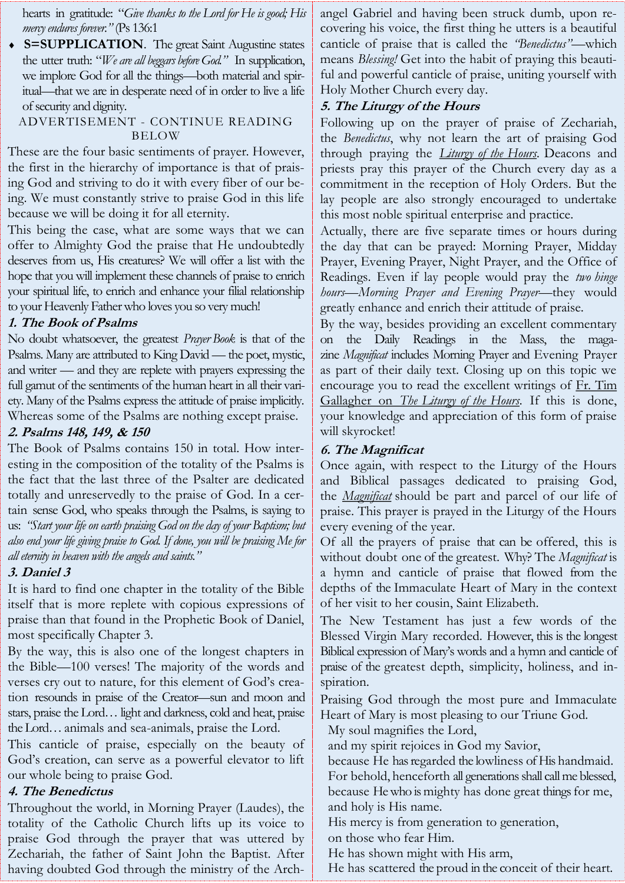hearts in gratitude: "*Give thanks to the Lord for He is good; His mercy endures forever."* (Ps 136:1

**S=SUPPLICATION**. The great Saint Augustine states the utter truth: "*We are all beggars before God."* In supplication, we implore God for all the things—both material and spiritual—that we are in desperate need of in order to live a life of security and dignity.

#### ADVERTISEMENT - CONTINUE READING BELOW

These are the four basic sentiments of prayer. However, the first in the hierarchy of importance is that of praising God and striving to do it with every fiber of our being. We must constantly strive to praise God in this life because we will be doing it for all eternity.

This being the case, what are some ways that we can offer to Almighty God the praise that He undoubtedly deserves from us, His creatures? We will offer a list with the hope that you will implement these channels of praise to enrich your spiritual life, to enrich and enhance your filial relationship to your Heavenly Father who loves you so very much!

# **1. The Book of Psalms**

No doubt whatsoever, the greatest *Prayer Book* is that of the Psalms. Many are attributed to King David — the poet, mystic, and writer — and they are replete with prayers expressing the full gamut of the sentiments of the human heart in all their variety. Many of the Psalms express the attitude of praise implicitly. Whereas some of the Psalms are nothing except praise.

# **2. Psalms 148, 149, & 150**

The Book of Psalms contains 150 in total. How interesting in the composition of the totality of the Psalms is the fact that the last three of the Psalter are dedicated totally and unreservedly to the praise of God. In a certain sense God, who speaks through the Psalms, is saying to us: *"Start your life on earth praising God on the day of your Baptism; but also end your life giving praise to God. If done, you will be praising Me for all eternity in heaven with the angels and saints."*

# **3. Daniel 3**

It is hard to find one chapter in the totality of the Bible itself that is more replete with copious expressions of praise than that found in the Prophetic Book of Daniel, most specifically Chapter 3.

By the way, this is also one of the longest chapters in the Bible—100 verses! The majority of the words and verses cry out to nature, for this element of God's creation resounds in praise of the Creator—sun and moon and stars, praise the Lord… light and darkness, cold and heat, praise the Lord… animals and sea-animals, praise the Lord.

This canticle of praise, especially on the beauty of God's creation, can serve as a powerful elevator to lift our whole being to praise God.

# **4. The Benedictus**

Throughout the world, in Morning Prayer (Laudes), the totality of the Catholic Church lifts up its voice to praise God through the prayer that was uttered by Zechariah, the father of Saint John the Baptist. After having doubted God through the ministry of the Archangel Gabriel and having been struck dumb, upon recovering his voice, the first thing he utters is a beautiful canticle of praise that is called the *"Benedictus"*—which means *Blessing!* Get into the habit of praying this beautiful and powerful canticle of praise, uniting yourself with Holy Mother Church every day.

# **5. The Liturgy of the Hours**

Following up on the prayer of praise of Zechariah, the *Benedictus*, why not learn the art of praising God through praying the *[Liturgy of the Hours.](https://catholicexchange.com/the-liturgy-of-the-hours-is-a-prayer-of-praise)* Deacons and priests pray this prayer of the Church every day as a commitment in the reception of Holy Orders. But the lay people are also strongly encouraged to undertake this most noble spiritual enterprise and practice.

Actually, there are five separate times or hours during the day that can be prayed: Morning Prayer, Midday Prayer, Evening Prayer, Night Prayer, and the Office of Readings. Even if lay people would pray the *two hinge hours—Morning Prayer and Evening Prayer*—they would greatly enhance and enrich their attitude of praise.

By the way, besides providing an excellent commentary on the Daily Readings in the Mass, the magazine *Magnificat* includes Morning Prayer and Evening Prayer as part of their daily text. Closing up on this topic we encourage you to read the excellent writings of Fr. Tim [Gallagher on](http://bit.ly/2z9zAE3) *[The Liturgy of the Hours.](http://bit.ly/2z9zAE3)* If this is done, your knowledge and appreciation of this form of praise will skyrocket!

# **6. The Magnificat**

Once again, with respect to the Liturgy of the Hours and Biblical passages dedicated to praising God, the *[Magnificat](https://catholicexchange.com/the-magnificat-of-mary)* should be part and parcel of our life of praise. This prayer is prayed in the Liturgy of the Hours every evening of the year.

Of all the prayers of praise that can be offered, this is without doubt one of the greatest. Why? The *Magnificat* is a hymn and canticle of praise that flowed from the depths of the Immaculate Heart of Mary in the context of her visit to her cousin, Saint Elizabeth.

The New Testament has just a few words of the Blessed Virgin Mary recorded. However, this is the longest Biblical expression of Mary's words and a hymn and canticle of praise of the greatest depth, simplicity, holiness, and inspiration.

Praising God through the most pure and Immaculate Heart of Mary is most pleasing to our Triune God.

My soul magnifies the Lord,

and my spirit rejoices in God my Savior,

because He has regarded the lowliness of His handmaid. For behold, henceforth all generations shall call me blessed, because He who is mighty has done great things for me, and holy is His name.

His mercy is from generation to generation, on those who fear Him.

He has shown might with His arm,

He has scattered the proud in the conceit of their heart.